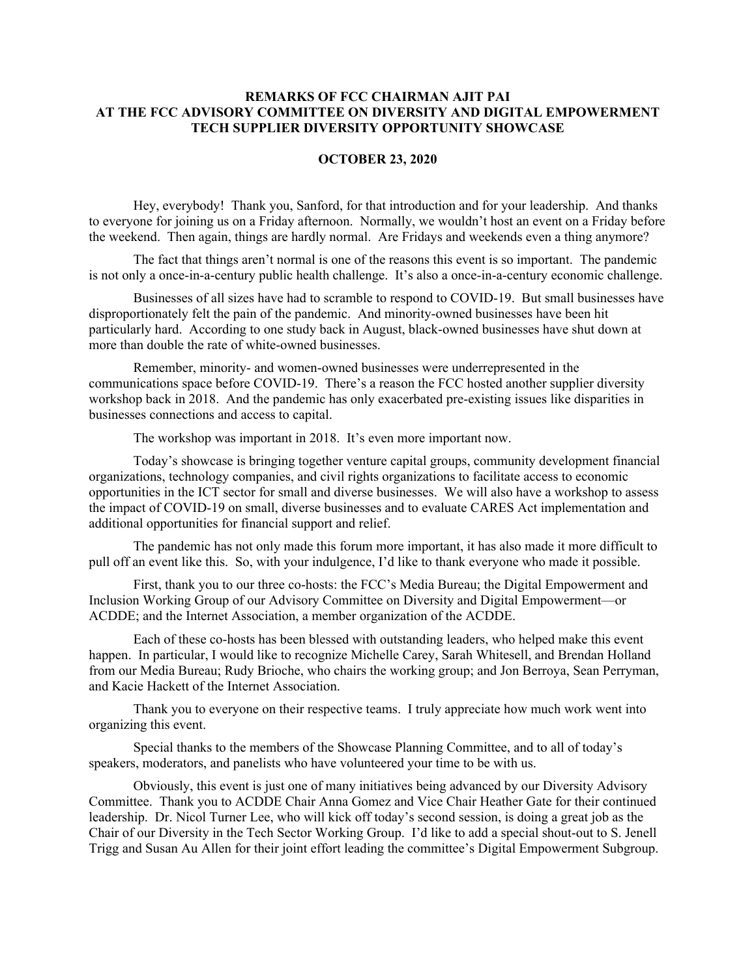## **REMARKS OF FCC CHAIRMAN AJIT PAI AT THE FCC ADVISORY COMMITTEE ON DIVERSITY AND DIGITAL EMPOWERMENT TECH SUPPLIER DIVERSITY OPPORTUNITY SHOWCASE**

## **OCTOBER 23, 2020**

Hey, everybody! Thank you, Sanford, for that introduction and for your leadership. And thanks to everyone for joining us on a Friday afternoon. Normally, we wouldn't host an event on a Friday before the weekend. Then again, things are hardly normal. Are Fridays and weekends even a thing anymore?

The fact that things aren't normal is one of the reasons this event is so important. The pandemic is not only a once-in-a-century public health challenge. It's also a once-in-a-century economic challenge.

 Businesses of all sizes have had to scramble to respond to COVID-19. But small businesses have disproportionately felt the pain of the pandemic. And minority-owned businesses have been hit particularly hard. According to one study back in August, black-owned businesses have shut down at more than double the rate of white-owned businesses.

Remember, minority- and women-owned businesses were underrepresented in the communications space before COVID-19. There's a reason the FCC hosted another supplier diversity workshop back in 2018. And the pandemic has only exacerbated pre-existing issues like disparities in businesses connections and access to capital.

The workshop was important in 2018. It's even more important now.

Today's showcase is bringing together venture capital groups, community development financial organizations, technology companies, and civil rights organizations to facilitate access to economic opportunities in the ICT sector for small and diverse businesses. We will also have a workshop to assess the impact of COVID-19 on small, diverse businesses and to evaluate CARES Act implementation and additional opportunities for financial support and relief.

The pandemic has not only made this forum more important, it has also made it more difficult to pull off an event like this. So, with your indulgence, I'd like to thank everyone who made it possible.

First, thank you to our three co-hosts: the FCC's Media Bureau; the Digital Empowerment and Inclusion Working Group of our Advisory Committee on Diversity and Digital Empowerment—or ACDDE; and the Internet Association, a member organization of the ACDDE.

Each of these co-hosts has been blessed with outstanding leaders, who helped make this event happen. In particular, I would like to recognize Michelle Carey, Sarah Whitesell, and Brendan Holland from our Media Bureau; Rudy Brioche, who chairs the working group; and Jon Berroya, Sean Perryman, and Kacie Hackett of the Internet Association.

Thank you to everyone on their respective teams. I truly appreciate how much work went into organizing this event.

Special thanks to the members of the Showcase Planning Committee, and to all of today's speakers, moderators, and panelists who have volunteered your time to be with us.

Obviously, this event is just one of many initiatives being advanced by our Diversity Advisory Committee. Thank you to ACDDE Chair Anna Gomez and Vice Chair Heather Gate for their continued leadership. Dr. Nicol Turner Lee, who will kick off today's second session, is doing a great job as the Chair of our Diversity in the Tech Sector Working Group. I'd like to add a special shout-out to S. Jenell Trigg and Susan Au Allen for their joint effort leading the committee's Digital Empowerment Subgroup.